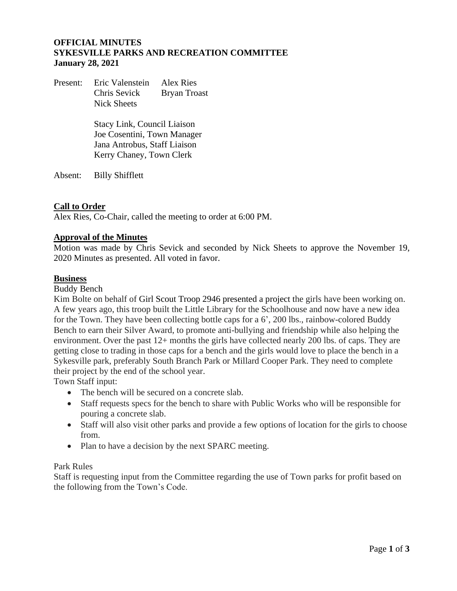# **OFFICIAL MINUTES SYKESVILLE PARKS AND RECREATION COMMITTEE January 28, 2021**

Present: Eric Valenstein Alex Ries Chris Sevick Bryan Troast Nick Sheets

> Stacy Link, Council Liaison Joe Cosentini, Town Manager Jana Antrobus, Staff Liaison Kerry Chaney, Town Clerk

Absent: Billy Shifflett

# **Call to Order**

Alex Ries, Co-Chair, called the meeting to order at 6:00 PM.

# **Approval of the Minutes**

Motion was made by Chris Sevick and seconded by Nick Sheets to approve the November 19, 2020 Minutes as presented. All voted in favor.

#### **Business**

Buddy Bench

Kim Bolte on behalf of Girl Scout Troop 2946 presented a project the girls have been working on. A few years ago, this troop built the Little Library for the Schoolhouse and now have a new idea for the Town. They have been collecting bottle caps for a 6', 200 lbs., rainbow-colored Buddy Bench to earn their Silver Award, to promote anti-bullying and friendship while also helping the environment. Over the past 12+ months the girls have collected nearly 200 lbs. of caps. They are getting close to trading in those caps for a bench and the girls would love to place the bench in a Sykesville park, preferably South Branch Park or Millard Cooper Park. They need to complete their project by the end of the school year.

Town Staff input:

- The bench will be secured on a concrete slab.
- Staff requests specs for the bench to share with Public Works who will be responsible for pouring a concrete slab.
- Staff will also visit other parks and provide a few options of location for the girls to choose from.
- Plan to have a decision by the next SPARC meeting.

#### Park Rules

Staff is requesting input from the Committee regarding the use of Town parks for profit based on the following from the Town's Code.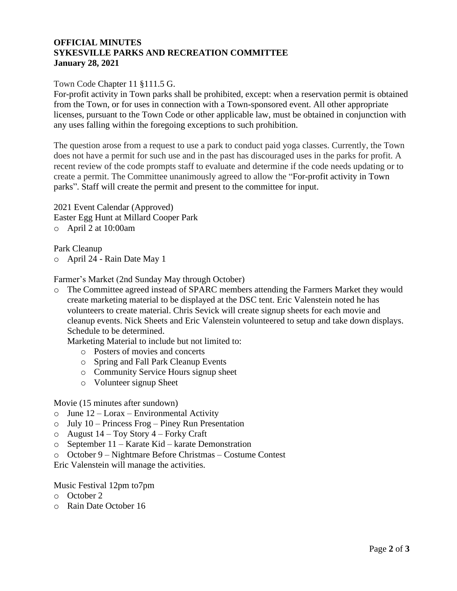#### **OFFICIAL MINUTES SYKESVILLE PARKS AND RECREATION COMMITTEE January 28, 2021**

# Town Code Chapter 11 §111.5 G.

For-profit activity in Town parks shall be prohibited, except: when a reservation permit is obtained from the Town, or for uses in connection with a Town-sponsored event. All other appropriate licenses, pursuant to the Town Code or other applicable law, must be obtained in conjunction with any uses falling within the foregoing exceptions to such prohibition.

The question arose from a request to use a park to conduct paid yoga classes. Currently, the Town does not have a permit for such use and in the past has discouraged uses in the parks for profit. A recent review of the code prompts staff to evaluate and determine if the code needs updating or to create a permit. The Committee unanimously agreed to allow the "For-profit activity in Town parks". Staff will create the permit and present to the committee for input.

2021 Event Calendar (Approved) Easter Egg Hunt at Millard Cooper Park o April 2 at 10:00am

Park Cleanup

o April 24 - Rain Date May 1

Farmer's Market (2nd Sunday May through October)

o The Committee agreed instead of SPARC members attending the Farmers Market they would create marketing material to be displayed at the DSC tent. Eric Valenstein noted he has volunteers to create material. Chris Sevick will create signup sheets for each movie and cleanup events. Nick Sheets and Eric Valenstein volunteered to setup and take down displays. Schedule to be determined.

Marketing Material to include but not limited to:

- o Posters of movies and concerts
- o Spring and Fall Park Cleanup Events
- o Community Service Hours signup sheet
- o Volunteer signup Sheet

#### Movie (15 minutes after sundown)

- $\circ$  June 12 Lorax Environmental Activity
- o July 10 Princess Frog Piney Run Presentation
- o August 14 Toy Story 4 Forky Craft
- o September 11 Karate Kid karate Demonstration
- o October 9 Nightmare Before Christmas Costume Contest

Eric Valenstein will manage the activities.

Music Festival 12pm to7pm

- o October 2
- o Rain Date October 16